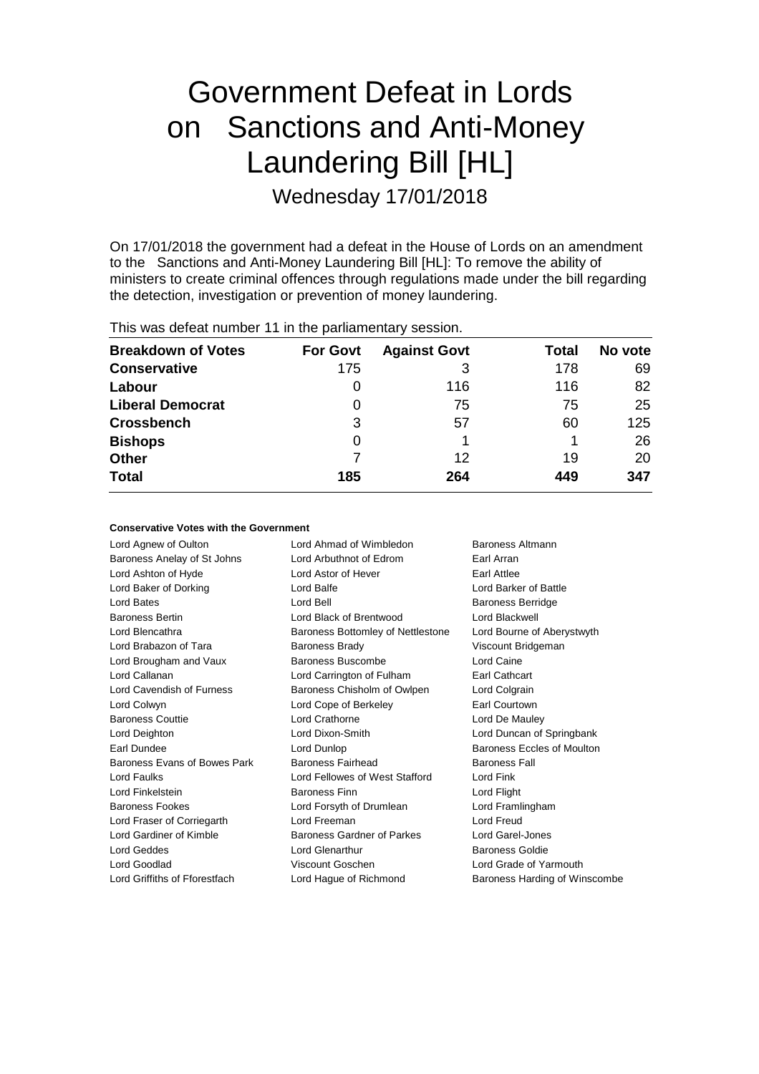# Government Defeat in Lords on Sanctions and Anti-Money Laundering Bill [HL] Wednesday 17/01/2018

On 17/01/2018 the government had a defeat in the House of Lords on an amendment to the Sanctions and Anti-Money Laundering Bill [HL]: To remove the ability of ministers to create criminal offences through regulations made under the bill regarding the detection, investigation or prevention of money laundering.

This was defeat number 11 in the parliamentary session.

| <b>Breakdown of Votes</b> | <b>For Govt</b> | <b>Against Govt</b> | Total | No vote |
|---------------------------|-----------------|---------------------|-------|---------|
| <b>Conservative</b>       | 175             | 3                   | 178   | 69      |
| Labour                    | O               | 116                 | 116   | 82      |
| <b>Liberal Democrat</b>   | 0               | 75                  | 75    | 25      |
| <b>Crossbench</b>         | 3               | 57                  | 60    | 125     |
| <b>Bishops</b>            | 0               |                     |       | 26      |
| <b>Other</b>              |                 | 12                  | 19    | 20      |
| <b>Total</b>              | 185             | 264                 | 449   | 347     |

### **Conservative Votes with the Government**

| Lord Agnew of Oulton          | Lord Ahmad of Wimbledon           | Baroness Altmann              |
|-------------------------------|-----------------------------------|-------------------------------|
| Baroness Anelay of St Johns   | Lord Arbuthnot of Edrom           | Earl Arran                    |
| Lord Ashton of Hyde           | Lord Astor of Hever               | Earl Attlee                   |
| Lord Baker of Dorking         | Lord Balfe                        | Lord Barker of Battle         |
| Lord Bates                    | Lord Bell                         | <b>Baroness Berridge</b>      |
| <b>Baroness Bertin</b>        | Lord Black of Brentwood           | Lord Blackwell                |
| Lord Blencathra               | Baroness Bottomley of Nettlestone | Lord Bourne of Aberystwyth    |
| Lord Brabazon of Tara         | <b>Baroness Brady</b>             | Viscount Bridgeman            |
| Lord Brougham and Vaux        | Baroness Buscombe                 | Lord Caine                    |
| Lord Callanan                 | Lord Carrington of Fulham         | Earl Cathcart                 |
| Lord Cavendish of Furness     | Baroness Chisholm of Owlpen       | Lord Colgrain                 |
| Lord Colwyn                   | Lord Cope of Berkeley             | Earl Courtown                 |
| <b>Baroness Couttie</b>       | Lord Crathorne                    | Lord De Mauley                |
| Lord Deighton                 | Lord Dixon-Smith                  | Lord Duncan of Springbank     |
| Earl Dundee                   | Lord Dunlop                       | Baroness Eccles of Moulton    |
| Baroness Evans of Bowes Park  | Baroness Fairhead                 | <b>Baroness Fall</b>          |
| Lord Faulks                   | Lord Fellowes of West Stafford    | Lord Fink                     |
| Lord Finkelstein              | <b>Baroness Finn</b>              | Lord Flight                   |
| <b>Baroness Fookes</b>        | Lord Forsyth of Drumlean          | Lord Framlingham              |
| Lord Fraser of Corriegarth    | Lord Freeman                      | Lord Freud                    |
| Lord Gardiner of Kimble       | <b>Baroness Gardner of Parkes</b> | Lord Garel-Jones              |
| <b>Lord Geddes</b>            | Lord Glenarthur                   | <b>Baroness Goldie</b>        |
| Lord Goodlad                  | Viscount Goschen                  | Lord Grade of Yarmouth        |
| Lord Griffiths of Fforestfach | Lord Hague of Richmond            | Baroness Harding of Winscombe |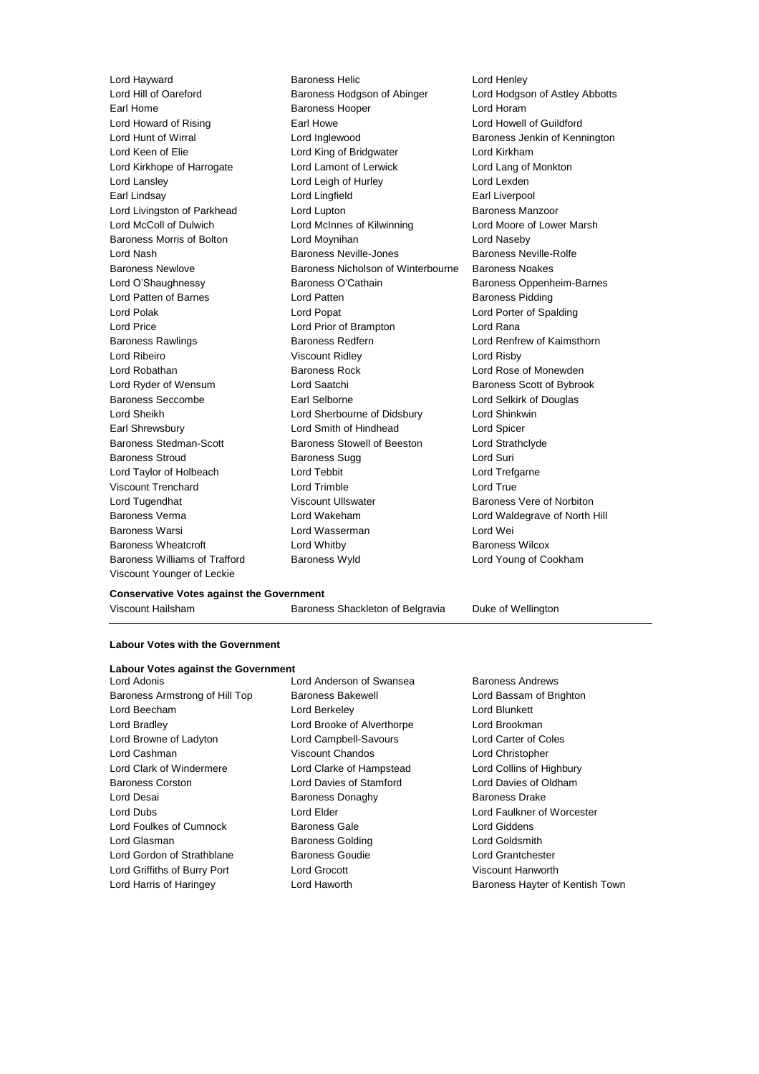Baroness Williams of Trafford Baroness Wyld Lord Young of Cookham Viscount Younger of Leckie

Lord Hayward **Baroness Helic** Lord Henley<br>
Lord Hill of Oareford **Baroness Hodgson of Abinger** Lord Hodgson Baroness Hodgson of Abinger Lord Hodgson of Astley Abbotts Earl Home **Baroness Hooper Baroness Hooper Lord Horam** Lord Howard of Rising **Earl Howe Carl Howe Lord Howell of Guildford** Lord Hunt of Wirral **Lord Inglewood** Baroness Jenkin of Kennington Lord Keen of Elie **Lord King of Bridgwater** Lord Kirkham Lord Kirkhope of Harrogate Lord Lamont of Lerwick Lord Lang of Monkton Lord Lansley Lord Leigh of Hurley Lord Lexden Earl Lindsay Lord Lingfield Earl Liverpool Lord Livingston of Parkhead Lord Lupton Baroness Manzoor Lord McColl of Dulwich Lord McInnes of Kilwinning Lord Moore of Lower Marsh Baroness Morris of Bolton **Lord Moynihan** Lord Cord Naseby Lord Nash Baroness Neville-Jones Baroness Neville-Rolfe Baroness Newlove Baroness Nicholson of Winterbourne Baroness Noakes Lord O'Shaughnessy **Baroness O'Cathain** Baroness Oppenheim-Barnes Lord Patten of Barnes **Lord Patten Baroness Pidding** Lord Polak Lord Popat Lord Porter of Spalding Lord Price **Lord Prior of Brampton** Lord Rana Baroness Rawlings **Baroness Redfern Baroness Redfern** Lord Renfrew of Kaimsthorn Lord Ribeiro Viscount Ridley Lord Risby Lord Robathan Baroness Rock Lord Rose of Monewden Lord Ryder of Wensum **Lord Saatchi** Baroness Scott of Bybrook Baroness Seccombe **Earl Selborne Earl Selborne Lord Selkirk of Douglas** Lord Sheikh Lord Sherbourne of Didsbury Lord Shinkwin Earl Shrewsbury Lord Smith of Hindhead Lord Spicer Baroness Stedman-Scott Baroness Stowell of Beeston Lord Strathclyde Baroness Stroud Baroness Sugg Lord Suri Lord Taylor of Holbeach Lord Tebbit Lord Trefgarne Viscount Trenchard Lord Trimble Lord True Lord Tugendhat **Night Collect Controlly Controlly** Viscount Ullswater **Baroness Vere of Norbiton** Baroness Verma Lord Wakeham Lord Waldegrave of North Hill Baroness Warsi Lord Wasserman Lord Wei Baroness Wheatcroft **Lord Whitby Baroness Wilcox Baroness Wilcox** 

#### **Conservative Votes against the Government**

Viscount Hailsham Baroness Shackleton of Belgravia Duke of Wellington

### **Labour Votes with the Government**

| <b>Labour Votes against the Government</b> |        |
|--------------------------------------------|--------|
| I ord Adonis                               | Lord   |
| Baroness Armstrong of Hill Top             | Baroı  |
| Lord Beecham                               | Lord   |
| Lord Bradley                               | Lord   |
| Lord Browne of Ladyton                     | Lord   |
| Lord Cashman                               | Visco  |
| Lord Clark of Windermere                   | Lord   |
| <b>Baroness Corston</b>                    | Lord   |
| Lord Desai                                 | Baror  |
| Lord Dubs                                  | Lord   |
| Lord Foulkes of Cumnock                    | Baror  |
| Lord Glasman                               | Baror  |
| Lord Gordon of Strathblane                 | Baroı  |
| Lord Griffiths of Burry Port               | Lord   |
| Lord Harris of Haringev                    | l ord- |

Anderson of Swansea Baroness Andrews ness Bakewell **Exercise Settem** Lord Bassam of Brighton **Berkeley Lord Blunkett** Brooke of Alverthorpe Lord Brookman Campbell-Savours Lord Carter of Coles **Lord Chandos** Lord Christopher Clarke of Hampstead Lord Collins of Highbury Davies of Stamford Lord Davies of Oldham ness Donaghy **Baroness Drake** Elder **Lord Faulkner of Worcester** ness Gale **Lord Giddens** ness Golding **Contact Coldsmith** ness Goudie **Communist Contract Contract Contract Contract Contract Contract Contract Contract Contract Contract Contract Contract Contract Contract Contract Contract Contract Contract Contract Contract Contract Contract C** Grocott **Griffiths of Burry Port Lord Griffiths Oriental Australian** Viscount Hanworth Lord Harris of Haringey **Lord Haworth Baroness Hayter of Kentish Town**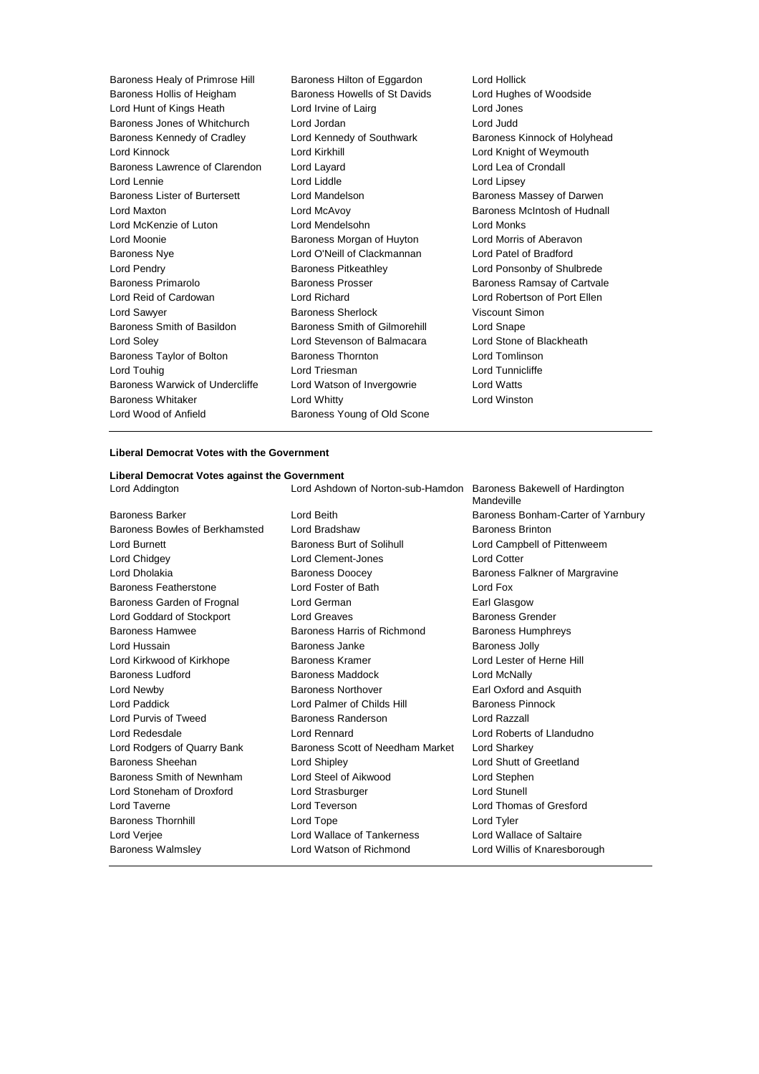Baroness Healy of Primrose Hill Baroness Hilton of Eggardon Lord Hollick Baroness Hollis of Heigham Baroness Howells of St Davids Lord Hughes of Woodside Lord Hunt of Kings Heath Lord Irvine of Lairg Lord Jones Baroness Jones of Whitchurch Lord Jordan Lord Judd Baroness Kennedy of Cradley **Lord Kennedy of Southwark Baroness Kinnock of Holyhead** Lord Kinnock Lord Kirkhill Lord Knight of Weymouth Baroness Lawrence of Clarendon Lord Layard Lord Lea of Crondall Lord Lennie Lord Liddle Lord Lipsey Baroness Lister of Burtersett Lord Mandelson Baroness Massey of Darwen Lord Maxton Lord McAvoy Baroness McIntosh of Hudnall Lord McKenzie of Luton Lord Mendelsohn Lord Monks Lord Moonie **Baroness Morgan of Huyton** Lord Morris of Aberavon Baroness Nye Lord O'Neill of Clackmannan Lord Patel of Bradford Lord Pendry Baroness Pitkeathley Lord Ponsonby of Shulbrede Baroness Primarolo Baroness Prosser Baroness Ramsay of Cartvale Lord Reid of Cardowan Lord Richard Lord Robertson of Port Ellen Lord Sawyer **Baroness Sherlock Consumers** Viscount Simon Baroness Smith of Basildon Baroness Smith of Gilmorehill Lord Snape Lord Soley Lord Stevenson of Balmacara Lord Stone of Blackheath Baroness Taylor of Bolton **Baroness Thornton** Baroness Thornton **Lord Tomlinson** Lord Touhig Lord Triesman Lord Tunnicliffe Baroness Warwick of Undercliffe Lord Watson of Invergowrie Lord Watts Baroness Whitaker **Lord Whitty** Lord Winston **Lord Winston** Lord Wood of Anfield Baroness Young of Old Scone

### **Liberal Democrat Votes with the Government**

**Liberal Democrat Votes against the Government** Lord Addington Lord Ashdown of Norton-sub-Hamdon Baroness Bakewell of Hardington **Mandeville** Baroness Barker Lord Beith Baroness Bonham-Carter of Yarnbury Baroness Bowles of Berkhamsted Lord Bradshaw Baroness Brinton Lord Burnett **Baroness Burt of Solihull** Lord Campbell of Pittenweem Lord Chidgey Lord Clement-Jones Lord Cotter Lord Dholakia **Baroness Doocey** Baroness Falkner of Margravine Baroness Featherstone Lord Foster of Bath Lord Fox Baroness Garden of Frognal Lord German Communication Carl Glasgow Lord Goddard of Stockport Lord Greaves **Baroness Grender** Baroness Grender Baroness Hamwee **Baroness Harris of Richmond** Baroness Humphreys Lord Hussain Baroness Janke Baroness Jolly Lord Kirkwood of Kirkhope **Baroness Kramer Baroness Kramer** Lord Lester of Herne Hill Baroness Ludford **Baroness Maddock** Lord McNally Lord Newby Baroness Northover Earl Oxford and Asquith Lord Paddick **Lord Palmer of Childs Hill Baroness Pinnock** Lord Purvis of Tweed Baroness Randerson Lord Razzall Lord Redesdale Lord Rennard Lord Roberts of Llandudno Lord Rodgers of Quarry Bank Baroness Scott of Needham Market Lord Sharkey Baroness Sheehan Lord Shipley Lord Shutt of Greetland Baroness Smith of Newnham Lord Steel of Aikwood Lord Stephen Lord Stoneham of Droxford Lord Strasburger Lord Stunell Lord Taverne Lord Teverson Lord Thomas of Gresford Baroness Thornhill Lord Tope Lord Tyler Lord Verjee Lord Wallace of Tankerness Lord Wallace of Saltaire Baroness Walmsley Lord Watson of Richmond Lord Willis of Knaresborough